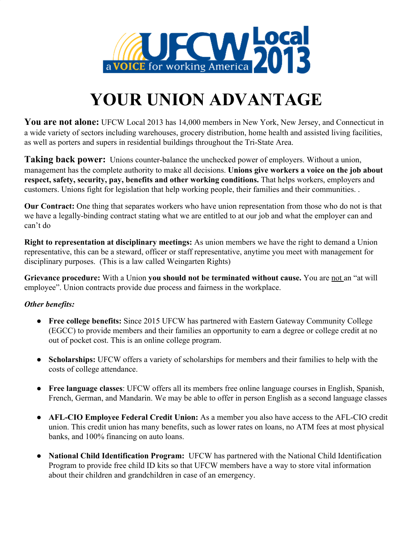

## **YOUR UNION ADVANTAGE**

**You are not alone:** UFCW Local 2013 has 14,000 members in New York, New Jersey, and Connecticut in a wide variety of sectors including warehouses, grocery distribution, home health and assisted living facilities, as well as porters and supers in residential buildings throughout the Tri-State Area.

**Taking back power:** Unions counter-balance the unchecked power of employers. Without a union, management has the complete authority to make all decisions. **Unions give workers a voice on the job about respect, safety, security, pay, benefits and other working conditions.** That helps workers, employers and customers. Unions fight for legislation that help working people, their families and their communities. .

**Our Contract:** One thing that separates workers who have union representation from those who do not is that we have a legally-binding contract stating what we are entitled to at our job and what the employer can and can't do

**Right to representation at disciplinary meetings:** As union members we have the right to demand a Union representative, this can be a steward, officer or staff representative, anytime you meet with management for disciplinary purposes. (This is a law called Weingarten Rights)

**Grievance procedure:** With a Union you should not be terminated without cause. You are not an "at will employee". Union contracts provide due process and fairness in the workplace.

## *Other benefits:*

- **Free college benefits:** Since 2015 UFCW has partnered with Eastern Gateway Community College (EGCC) to provide members and their families an opportunity to earn a degree or college credit at no out of pocket cost. This is an online college program.
- **Scholarships:** UFCW offers a variety of scholarships for members and their families to help with the costs of college attendance.
- **Free language classes**: UFCW offers all its members free online language courses in English, Spanish, French, German, and Mandarin. We may be able to offer in person English as a second language classes
- **AFL-CIO Employee Federal Credit Union:** As a member you also have access to the AFL-CIO credit union. This credit union has many benefits, such as lower rates on loans, no ATM fees at most physical banks, and 100% financing on auto loans.
- **● National Child Identification Program:** UFCW has partnered with the National Child Identification Program to provide free child ID kits so that UFCW members have a way to store vital information about their children and grandchildren in case of an emergency.